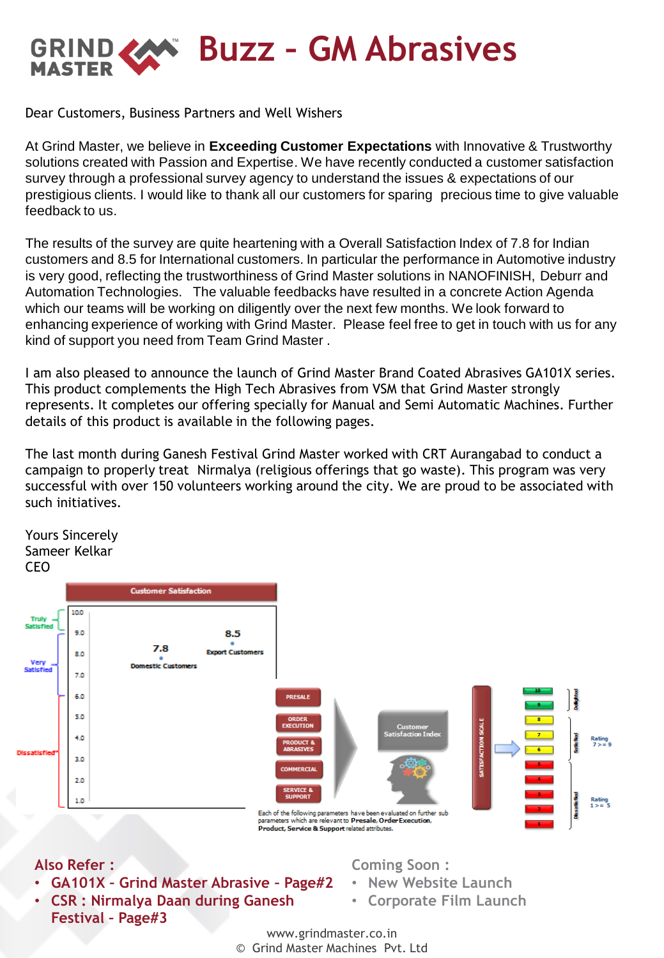**Buzz – GM Abrasives** GRIND. **MASTER** 

Dear Customers, Business Partners and Well Wishers

At Grind Master, we believe in **Exceeding Customer Expectations** with Innovative & Trustworthy solutions created with Passion and Expertise. We have recently conducted a customer satisfaction survey through a professional survey agency to understand the issues & expectations of our prestigious clients. I would like to thank all our customers for sparing precious time to give valuable feedback to us.

The results of the survey are quite heartening with a Overall Satisfaction Index of 7.8 for Indian customers and 8.5 for International customers. In particular the performance in Automotive industry is very good, reflecting the trustworthiness of Grind Master solutions in NANOFINISH, Deburr and Automation Technologies. The valuable feedbacks have resulted in a concrete Action Agenda which our teams will be working on diligently over the next few months. We look forward to enhancing experience of working with Grind Master. Please feel free to get in touch with us for any kind of support you need from Team Grind Master .

I am also pleased to announce the launch of Grind Master Brand Coated Abrasives GA101X series. This product complements the High Tech Abrasives from VSM that Grind Master strongly represents. It completes our offering specially for Manual and Semi Automatic Machines. Further details of this product is available in the following pages.

The last month during Ganesh Festival Grind Master worked with CRT Aurangabad to conduct a campaign to properly treat Nirmalya (religious offerings that go waste). This program was very successful with over 150 volunteers working around the city. We are proud to be associated with such initiatives.



- **GA101X – Grind Master Abrasive – Page#2**
- **CSR : Nirmalya Daan during Ganesh Festival – Page#3**
- **New Website Launch**
- **Corporate Film Launch**
- www.grindmaster.co.in
- © Grind Master Machines Pvt. Ltd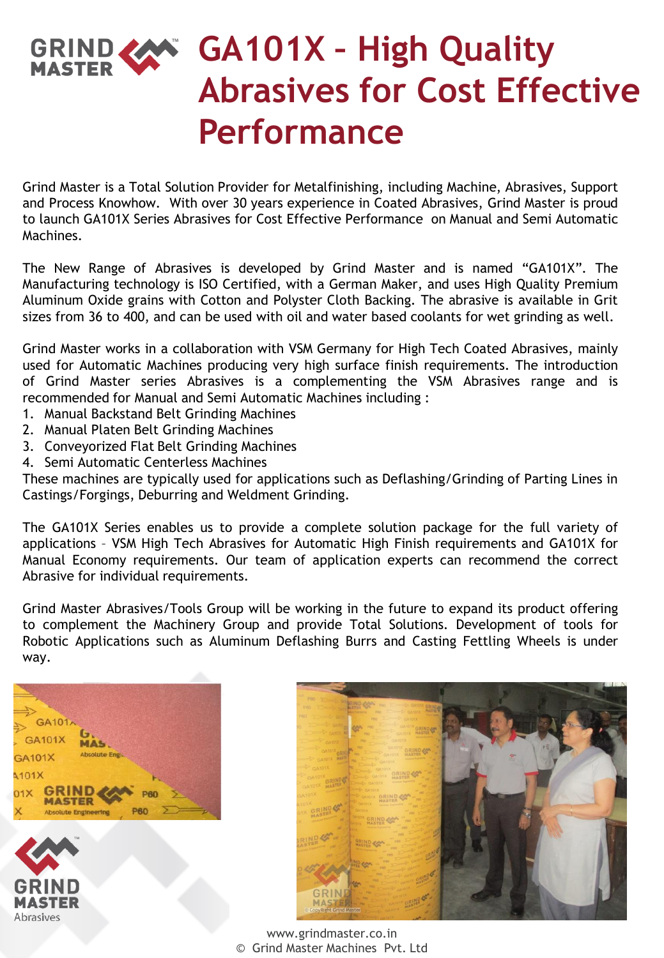## **GA101X – High Quality Abrasives for Cost Effective Performance**

Grind Master is a Total Solution Provider for Metalfinishing, including Machine, Abrasives, Support and Process Knowhow. With over 30 years experience in Coated Abrasives, Grind Master is proud to launch GA101X Series Abrasives for Cost Effective Performance on Manual and Semi Automatic Machines.

The New Range of Abrasives is developed by Grind Master and is named "GA101X". The Manufacturing technology is ISO Certified, with a German Maker, and uses High Quality Premium Aluminum Oxide grains with Cotton and Polyster Cloth Backing. The abrasive is available in Grit sizes from 36 to 400, and can be used with oil and water based coolants for wet grinding as well.

Grind Master works in a collaboration with VSM Germany for High Tech Coated Abrasives, mainly used for Automatic Machines producing very high surface finish requirements. The introduction of Grind Master series Abrasives is a complementing the VSM Abrasives range and is recommended for Manual and Semi Automatic Machines including :

- 1. Manual Backstand Belt Grinding Machines
- 2. Manual Platen Belt Grinding Machines
- 3. Conveyorized Flat Belt Grinding Machines
- 4. Semi Automatic Centerless Machines

These machines are typically used for applications such as Deflashing/Grinding of Parting Lines in Castings/Forgings, Deburring and Weldment Grinding.

The GA101X Series enables us to provide a complete solution package for the full variety of applications – VSM High Tech Abrasives for Automatic High Finish requirements and GA101X for Manual Economy requirements. Our team of application experts can recommend the correct Abrasive for individual requirements.

Grind Master Abrasives/Tools Group will be working in the future to expand its product offering to complement the Machinery Group and provide Total Solutions. Development of tools for Robotic Applications such as Aluminum Deflashing Burrs and Casting Fettling Wheels is under way.







www.grindmaster.co.in © Grind Master Machines Pvt. Ltd